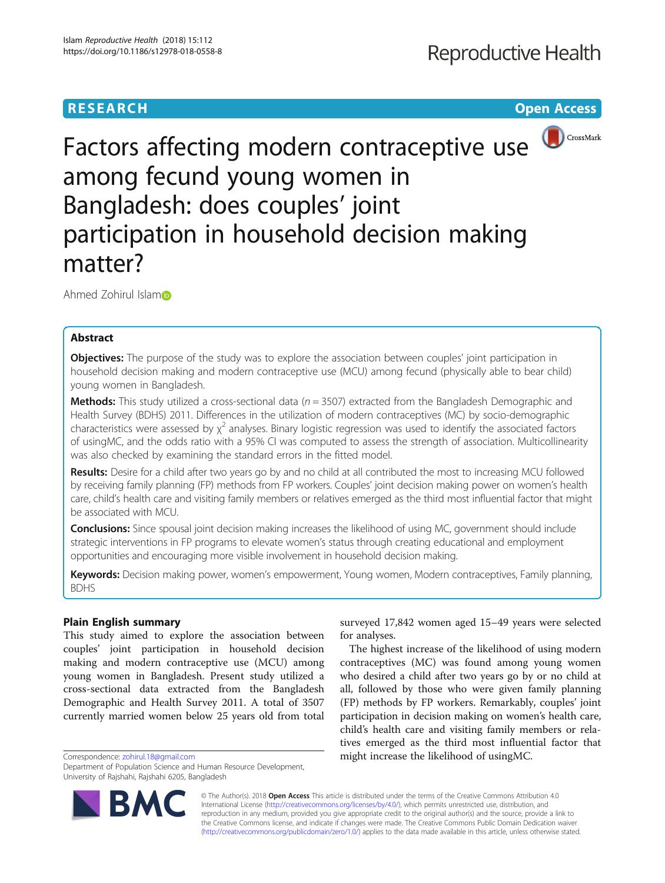# **RESEARCH CHINESE ARCH CHINESE ARCH CHINESE ARCH <b>CHINESE ARCH CHINESE ARCH CHINESE ARCH <b>CHINESE ARCH** CHINESE ARCH **CHINESE ARCH** CHINESE ARCH **CHINESE ARCH 2014**



# Factors affecting modern contraceptive use among fecund young women in Bangladesh: does couples' joint participation in household decision making matter?

Ahmed Zohirul Islam

# Abstract

**Objectives:** The purpose of the study was to explore the association between couples' joint participation in household decision making and modern contraceptive use (MCU) among fecund (physically able to bear child) young women in Bangladesh.

**Methods:** This study utilized a cross-sectional data ( $n = 3507$ ) extracted from the Bangladesh Demographic and Health Survey (BDHS) 2011. Differences in the utilization of modern contraceptives (MC) by socio-demographic characteristics were assessed by  $\chi^2$  analyses. Binary logistic regression was used to identify the associated factors of usingMC, and the odds ratio with a 95% CI was computed to assess the strength of association. Multicollinearity was also checked by examining the standard errors in the fitted model.

Results: Desire for a child after two years go by and no child at all contributed the most to increasing MCU followed by receiving family planning (FP) methods from FP workers. Couples' joint decision making power on women's health care, child's health care and visiting family members or relatives emerged as the third most influential factor that might be associated with MCU.

**Conclusions:** Since spousal joint decision making increases the likelihood of using MC, government should include strategic interventions in FP programs to elevate women's status through creating educational and employment opportunities and encouraging more visible involvement in household decision making.

Keywords: Decision making power, women's empowerment, Young women, Modern contraceptives, Family planning, BDHS

# Plain English summary

This study aimed to explore the association between couples' joint participation in household decision making and modern contraceptive use (MCU) among young women in Bangladesh. Present study utilized a cross-sectional data extracted from the Bangladesh Demographic and Health Survey 2011. A total of 3507 currently married women below 25 years old from total

Department of Population Science and Human Resource Development, University of Rajshahi, Rajshahi 6205, Bangladesh





surveyed 17,842 women aged 15–49 years were selected for analyses.

The highest increase of the likelihood of using modern contraceptives (MC) was found among young women who desired a child after two years go by or no child at all, followed by those who were given family planning (FP) methods by FP workers. Remarkably, couples' joint participation in decision making on women's health care, child's health care and visiting family members or relatives emerged as the third most influential factor that Correspondence: [zohirul.18@gmail.com](mailto:zohirul.18@gmail.com) might increase the likelihood of usingMC.

> © The Author(s). 2018 Open Access This article is distributed under the terms of the Creative Commons Attribution 4.0 International License [\(http://creativecommons.org/licenses/by/4.0/](http://creativecommons.org/licenses/by/4.0/)), which permits unrestricted use, distribution, and reproduction in any medium, provided you give appropriate credit to the original author(s) and the source, provide a link to the Creative Commons license, and indicate if changes were made. The Creative Commons Public Domain Dedication waiver [\(http://creativecommons.org/publicdomain/zero/1.0/](http://creativecommons.org/publicdomain/zero/1.0/)) applies to the data made available in this article, unless otherwise stated.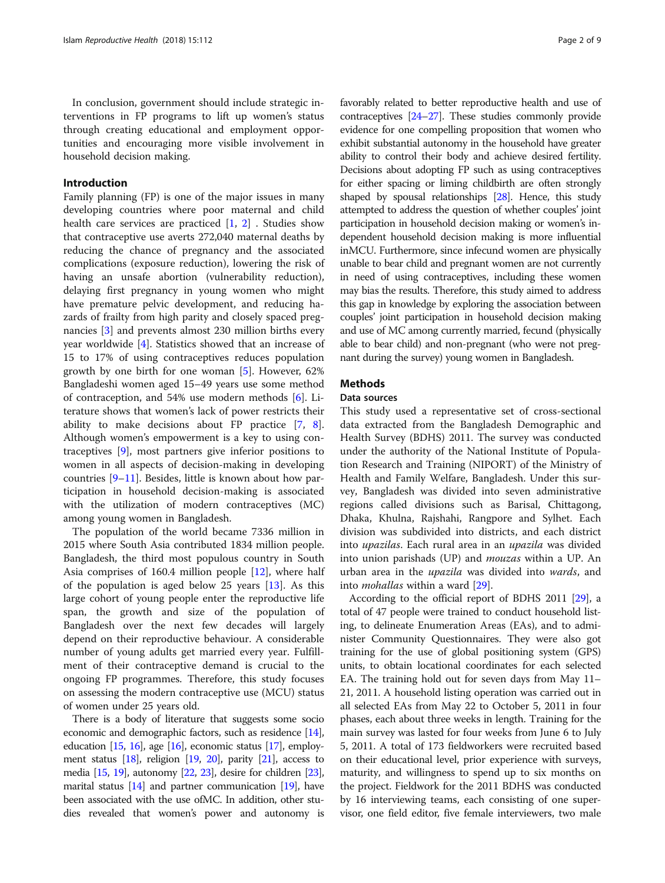In conclusion, government should include strategic interventions in FP programs to lift up women's status through creating educational and employment opportunities and encouraging more visible involvement in household decision making.

# Introduction

Family planning (FP) is one of the major issues in many developing countries where poor maternal and child health care services are practiced  $[1, 2]$  $[1, 2]$  $[1, 2]$ . Studies show that contraceptive use averts 272,040 maternal deaths by reducing the chance of pregnancy and the associated complications (exposure reduction), lowering the risk of having an unsafe abortion (vulnerability reduction), delaying first pregnancy in young women who might have premature pelvic development, and reducing hazards of frailty from high parity and closely spaced pregnancies [[3](#page-7-0)] and prevents almost 230 million births every year worldwide [\[4\]](#page-7-0). Statistics showed that an increase of 15 to 17% of using contraceptives reduces population growth by one birth for one woman [[5\]](#page-7-0). However, 62% Bangladeshi women aged 15–49 years use some method of contraception, and 54% use modern methods [[6\]](#page-7-0). Literature shows that women's lack of power restricts their ability to make decisions about FP practice [\[7](#page-7-0), [8](#page-7-0)]. Although women's empowerment is a key to using contraceptives [[9\]](#page-7-0), most partners give inferior positions to women in all aspects of decision-making in developing countries  $[9-11]$  $[9-11]$  $[9-11]$  $[9-11]$  $[9-11]$ . Besides, little is known about how participation in household decision-making is associated with the utilization of modern contraceptives (MC) among young women in Bangladesh.

The population of the world became 7336 million in 2015 where South Asia contributed 1834 million people. Bangladesh, the third most populous country in South Asia comprises of 160.4 million people [[12\]](#page-7-0), where half of the population is aged below 25 years  $[13]$  $[13]$  $[13]$ . As this large cohort of young people enter the reproductive life span, the growth and size of the population of Bangladesh over the next few decades will largely depend on their reproductive behaviour. A considerable number of young adults get married every year. Fulfillment of their contraceptive demand is crucial to the ongoing FP programmes. Therefore, this study focuses on assessing the modern contraceptive use (MCU) status of women under 25 years old.

There is a body of literature that suggests some socio economic and demographic factors, such as residence [\[14](#page-7-0)], education  $[15, 16]$  $[15, 16]$  $[15, 16]$  $[15, 16]$ , age  $[16]$ , economic status  $[17]$  $[17]$  $[17]$ , employment status [\[18\]](#page-7-0), religion [\[19](#page-7-0), [20\]](#page-7-0), parity [\[21\]](#page-7-0), access to media [[15](#page-7-0), [19\]](#page-7-0), autonomy [\[22](#page-8-0), [23\]](#page-8-0), desire for children [\[23](#page-8-0)], marital status [\[14](#page-7-0)] and partner communication [\[19\]](#page-7-0), have been associated with the use ofMC. In addition, other studies revealed that women's power and autonomy is favorably related to better reproductive health and use of contraceptives [\[24](#page-8-0)–[27\]](#page-8-0). These studies commonly provide evidence for one compelling proposition that women who exhibit substantial autonomy in the household have greater ability to control their body and achieve desired fertility. Decisions about adopting FP such as using contraceptives for either spacing or liming childbirth are often strongly shaped by spousal relationships [\[28](#page-8-0)]. Hence, this study attempted to address the question of whether couples' joint participation in household decision making or women's independent household decision making is more influential inMCU. Furthermore, since infecund women are physically unable to bear child and pregnant women are not currently in need of using contraceptives, including these women may bias the results. Therefore, this study aimed to address this gap in knowledge by exploring the association between couples' joint participation in household decision making and use of MC among currently married, fecund (physically able to bear child) and non-pregnant (who were not pregnant during the survey) young women in Bangladesh.

# **Methods**

# Data sources

This study used a representative set of cross-sectional data extracted from the Bangladesh Demographic and Health Survey (BDHS) 2011. The survey was conducted under the authority of the National Institute of Population Research and Training (NIPORT) of the Ministry of Health and Family Welfare, Bangladesh. Under this survey, Bangladesh was divided into seven administrative regions called divisions such as Barisal, Chittagong, Dhaka, Khulna, Rajshahi, Rangpore and Sylhet. Each division was subdivided into districts, and each district into upazilas. Each rural area in an upazila was divided into union parishads (UP) and mouzas within a UP. An urban area in the *upazila* was divided into wards, and into *mohallas* within a ward [[29](#page-8-0)].

According to the official report of BDHS 2011 [\[29\]](#page-8-0), a total of 47 people were trained to conduct household listing, to delineate Enumeration Areas (EAs), and to administer Community Questionnaires. They were also got training for the use of global positioning system (GPS) units, to obtain locational coordinates for each selected EA. The training hold out for seven days from May 11– 21, 2011. A household listing operation was carried out in all selected EAs from May 22 to October 5, 2011 in four phases, each about three weeks in length. Training for the main survey was lasted for four weeks from June 6 to July 5, 2011. A total of 173 fieldworkers were recruited based on their educational level, prior experience with surveys, maturity, and willingness to spend up to six months on the project. Fieldwork for the 2011 BDHS was conducted by 16 interviewing teams, each consisting of one supervisor, one field editor, five female interviewers, two male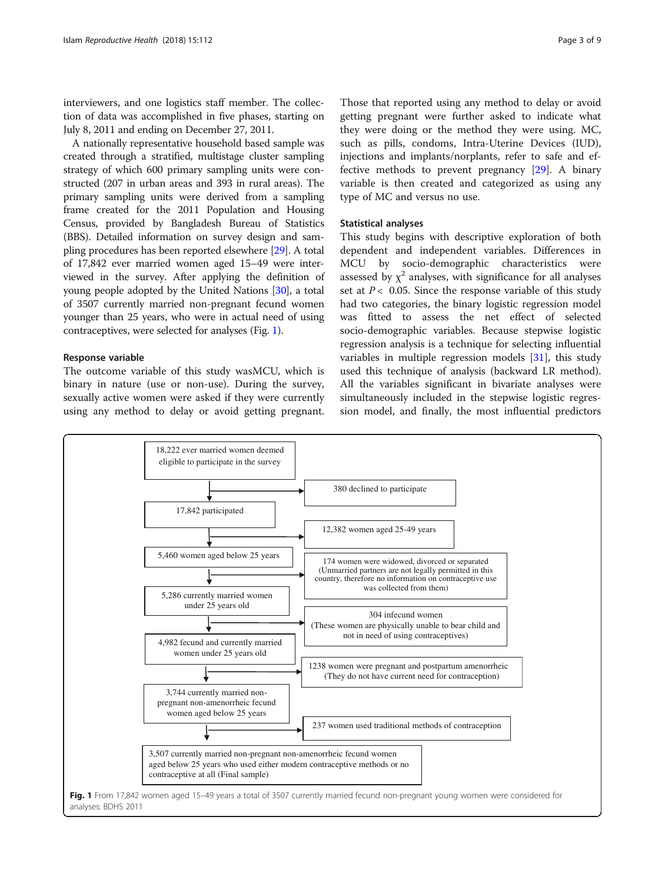interviewers, and one logistics staff member. The collection of data was accomplished in five phases, starting on July 8, 2011 and ending on December 27, 2011.

A nationally representative household based sample was created through a stratified, multistage cluster sampling strategy of which 600 primary sampling units were constructed (207 in urban areas and 393 in rural areas). The primary sampling units were derived from a sampling frame created for the 2011 Population and Housing Census, provided by Bangladesh Bureau of Statistics (BBS). Detailed information on survey design and sampling procedures has been reported elsewhere [[29](#page-8-0)]. A total of 17,842 ever married women aged 15–49 were interviewed in the survey. After applying the definition of young people adopted by the United Nations [[30](#page-8-0)], a total of 3507 currently married non-pregnant fecund women younger than 25 years, who were in actual need of using contraceptives, were selected for analyses (Fig. 1).

## Response variable

The outcome variable of this study wasMCU, which is binary in nature (use or non-use). During the survey, sexually active women were asked if they were currently using any method to delay or avoid getting pregnant. Those that reported using any method to delay or avoid getting pregnant were further asked to indicate what they were doing or the method they were using. MC, such as pills, condoms, Intra-Uterine Devices (IUD), injections and implants/norplants, refer to safe and effective methods to prevent pregnancy [\[29](#page-8-0)]. A binary variable is then created and categorized as using any type of MC and versus no use.

# Statistical analyses

This study begins with descriptive exploration of both dependent and independent variables. Differences in MCU by socio-demographic characteristics were assessed by  $\chi^2$  analyses, with significance for all analyses set at  $P < 0.05$ . Since the response variable of this study had two categories, the binary logistic regression model was fitted to assess the net effect of selected socio-demographic variables. Because stepwise logistic regression analysis is a technique for selecting influential variables in multiple regression models [[31\]](#page-8-0), this study used this technique of analysis (backward LR method). All the variables significant in bivariate analyses were simultaneously included in the stepwise logistic regression model, and finally, the most influential predictors

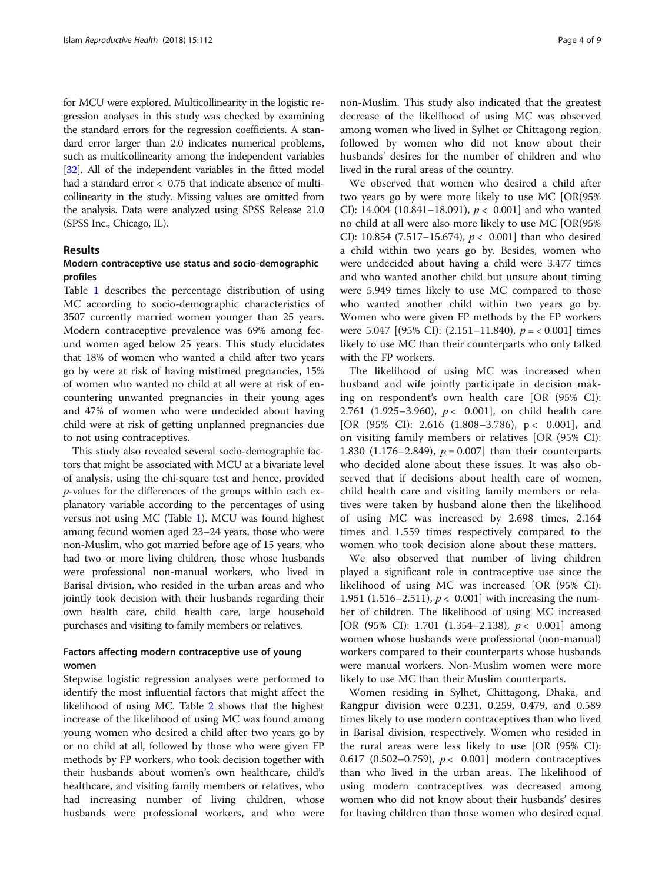for MCU were explored. Multicollinearity in the logistic regression analyses in this study was checked by examining the standard errors for the regression coefficients. A standard error larger than 2.0 indicates numerical problems, such as multicollinearity among the independent variables [[32](#page-8-0)]. All of the independent variables in the fitted model had a standard error < 0.75 that indicate absence of multicollinearity in the study. Missing values are omitted from the analysis. Data were analyzed using SPSS Release 21.0 (SPSS Inc., Chicago, IL).

# Results

# Modern contraceptive use status and socio-demographic profiles

Table [1](#page-4-0) describes the percentage distribution of using MC according to socio-demographic characteristics of 3507 currently married women younger than 25 years. Modern contraceptive prevalence was 69% among fecund women aged below 25 years. This study elucidates that 18% of women who wanted a child after two years go by were at risk of having mistimed pregnancies, 15% of women who wanted no child at all were at risk of encountering unwanted pregnancies in their young ages and 47% of women who were undecided about having child were at risk of getting unplanned pregnancies due to not using contraceptives.

This study also revealed several socio-demographic factors that might be associated with MCU at a bivariate level of analysis, using the chi-square test and hence, provided p-values for the differences of the groups within each explanatory variable according to the percentages of using versus not using MC (Table [1](#page-4-0)). MCU was found highest among fecund women aged 23–24 years, those who were non-Muslim, who got married before age of 15 years, who had two or more living children, those whose husbands were professional non-manual workers, who lived in Barisal division, who resided in the urban areas and who jointly took decision with their husbands regarding their own health care, child health care, large household purchases and visiting to family members or relatives.

# Factors affecting modern contraceptive use of young women

Stepwise logistic regression analyses were performed to identify the most influential factors that might affect the likelihood of using MC. Table [2](#page-6-0) shows that the highest increase of the likelihood of using MC was found among young women who desired a child after two years go by or no child at all, followed by those who were given FP methods by FP workers, who took decision together with their husbands about women's own healthcare, child's healthcare, and visiting family members or relatives, who had increasing number of living children, whose husbands were professional workers, and who were

non-Muslim. This study also indicated that the greatest decrease of the likelihood of using MC was observed among women who lived in Sylhet or Chittagong region, followed by women who did not know about their husbands' desires for the number of children and who lived in the rural areas of the country.

We observed that women who desired a child after two years go by were more likely to use MC [OR(95% CI): 14.004 (10.841–18.091),  $p < 0.001$  and who wanted no child at all were also more likely to use MC [OR(95% CI): 10.854 (7.517-15.674),  $p < 0.001$ ] than who desired a child within two years go by. Besides, women who were undecided about having a child were 3.477 times and who wanted another child but unsure about timing were 5.949 times likely to use MC compared to those who wanted another child within two years go by. Women who were given FP methods by the FP workers were 5.047 [(95% CI):  $(2.151-11.840)$ ,  $p = < 0.001$ ] times likely to use MC than their counterparts who only talked with the FP workers.

The likelihood of using MC was increased when husband and wife jointly participate in decision making on respondent's own health care [OR (95% CI): 2.761 (1.925–3.960),  $p < 0.001$ ], on child health care [OR (95% CI): 2.616 (1.808-3.786), p < 0.001], and on visiting family members or relatives [OR (95% CI): 1.830 (1.176–2.849),  $p = 0.007$ ] than their counterparts who decided alone about these issues. It was also observed that if decisions about health care of women, child health care and visiting family members or relatives were taken by husband alone then the likelihood of using MC was increased by 2.698 times, 2.164 times and 1.559 times respectively compared to the women who took decision alone about these matters.

We also observed that number of living children played a significant role in contraceptive use since the likelihood of using MC was increased [OR (95% CI): 1.951 (1.516–2.511),  $p < 0.001$  with increasing the number of children. The likelihood of using MC increased [OR (95% CI): 1.701 (1.354–2.138),  $p < 0.001$  among women whose husbands were professional (non-manual) workers compared to their counterparts whose husbands were manual workers. Non-Muslim women were more likely to use MC than their Muslim counterparts.

Women residing in Sylhet, Chittagong, Dhaka, and Rangpur division were 0.231, 0.259, 0.479, and 0.589 times likely to use modern contraceptives than who lived in Barisal division, respectively. Women who resided in the rural areas were less likely to use [OR (95% CI): 0.617 (0.502-0.759),  $p < 0.001$ ] modern contraceptives than who lived in the urban areas. The likelihood of using modern contraceptives was decreased among women who did not know about their husbands' desires for having children than those women who desired equal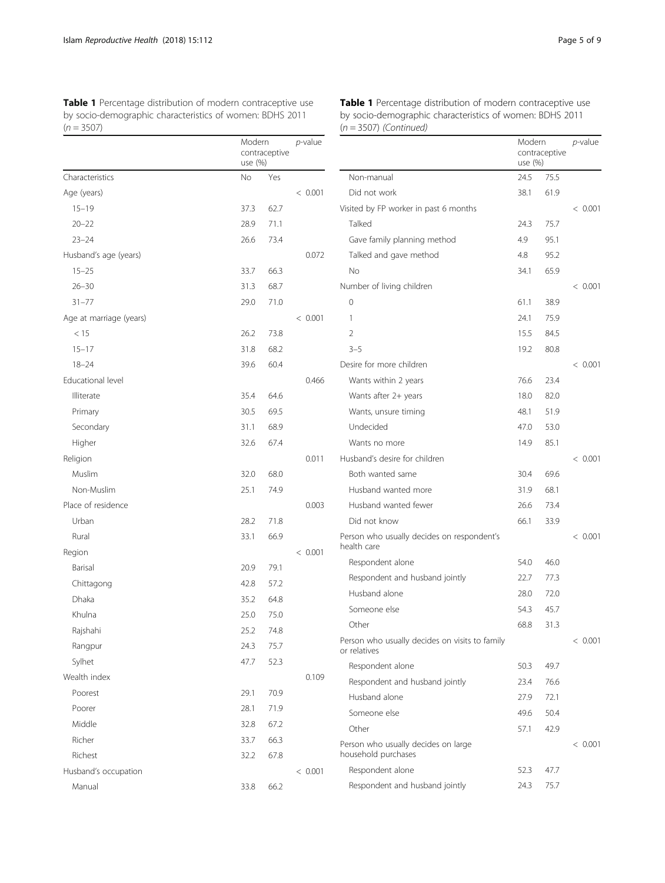$p$ -value

 $< 0.001$ 

 $< 0.001$ 

 $< 0.001$ 

 $< 0.001$ 

 $< 0.001$ 

 $< 0.001$ 

 $< 0.001$ 

<span id="page-4-0"></span>

| <b>Table 1</b> Percentage distribution of modern contraceptive use |
|--------------------------------------------------------------------|
| by socio-demographic characteristics of women: BDHS 2011           |
| $(n = 3507)$                                                       |

| <b>Table 1</b> Percentage distribution of modern contraceptive use |
|--------------------------------------------------------------------|
| by socio-demographic characteristics of women: BDHS 2011           |
| $(n = 3507)$ (Continued)                                           |

|                         |      | Modern<br>contraceptive<br>use (%) |         |                                                                | Modern<br>contraceptive<br>use (%) |      |
|-------------------------|------|------------------------------------|---------|----------------------------------------------------------------|------------------------------------|------|
| Characteristics         | No   | Yes                                |         | Non-manual                                                     | 24.5                               | 75.5 |
| Age (years)             |      |                                    | < 0.001 | Did not work                                                   | 38.1                               | 61.9 |
| $15 - 19$               | 37.3 | 62.7                               |         | Visited by FP worker in past 6 months                          |                                    |      |
| $20 - 22$               | 28.9 | 71.1                               |         | Talked                                                         | 24.3                               | 75.7 |
| $23 - 24$               | 26.6 | 73.4                               |         | Gave family planning method                                    | 4.9                                | 95.1 |
| Husband's age (years)   |      |                                    | 0.072   | Talked and gave method                                         | 4.8                                | 95.2 |
| $15 - 25$               | 33.7 | 66.3                               |         | No                                                             | 34.1                               | 65.9 |
| $26 - 30$               | 31.3 | 68.7                               |         | Number of living children                                      |                                    |      |
| $31 - 77$               | 29.0 | 71.0                               |         | 0                                                              | 61.1                               | 38.9 |
| Age at marriage (years) |      |                                    | < 0.001 | 1                                                              | 24.1                               | 75.9 |
| < 15                    | 26.2 | 73.8                               |         | $\overline{2}$                                                 | 15.5                               | 84.5 |
| $15 - 17$               | 31.8 | 68.2                               |         | $3 - 5$                                                        | 19.2                               | 80.8 |
| $18 - 24$               | 39.6 | 60.4                               |         | Desire for more children                                       |                                    |      |
| Educational level       |      |                                    | 0.466   | Wants within 2 years                                           | 76.6                               | 23.4 |
| Illiterate              | 35.4 | 64.6                               |         | Wants after 2+ years                                           | 18.0                               | 82.0 |
| Primary                 | 30.5 | 69.5                               |         | Wants, unsure timing                                           | 48.1                               | 51.9 |
| Secondary               | 31.1 | 68.9                               |         | Undecided                                                      | 47.0                               | 53.0 |
| Higher                  | 32.6 | 67.4                               |         | Wants no more                                                  | 14.9                               | 85.1 |
| Religion                |      |                                    | 0.011   | Husband's desire for children                                  |                                    |      |
| Muslim                  | 32.0 | 68.0                               |         | Both wanted same                                               | 30.4                               | 69.6 |
| Non-Muslim              | 25.1 | 74.9                               |         | Husband wanted more                                            | 31.9                               | 68.1 |
| Place of residence      |      |                                    | 0.003   | Husband wanted fewer                                           | 26.6                               | 73.4 |
| Urban                   | 28.2 | 71.8                               |         | Did not know                                                   | 66.1                               | 33.9 |
| Rural                   | 33.1 | 66.9                               |         | Person who usually decides on respondent's                     |                                    |      |
| Region                  |      |                                    | < 0.001 | health care                                                    |                                    |      |
| Barisal                 | 20.9 | 79.1                               |         | Respondent alone                                               | 54.0                               | 46.0 |
| Chittagong              | 42.8 | 57.2                               |         | Respondent and husband jointly                                 | 22.7                               | 77.3 |
| Dhaka                   | 35.2 | 64.8                               |         | Husband alone                                                  | 28.0                               | 72.0 |
| Khulna                  | 25.0 | 75.0                               |         | Someone else                                                   | 54.3                               | 45.7 |
| Rajshahi                | 25.2 | 74.8                               |         | Other                                                          | 68.8                               | 31.3 |
| Rangpur                 | 24.3 | 75.7                               |         | Person who usually decides on visits to family<br>or relatives |                                    |      |
| Sylhet                  | 47.7 | 52.3                               |         | Respondent alone                                               | 50.3                               | 49.7 |
| Wealth index            |      |                                    | 0.109   | Respondent and husband jointly                                 | 23.4                               | 76.6 |
| Poorest                 | 29.1 | 70.9                               |         | Husband alone                                                  | 27.9                               | 72.1 |
| Poorer                  | 28.1 | 71.9                               |         | Someone else                                                   | 49.6                               | 50.4 |
| Middle                  | 32.8 | 67.2                               |         | Other                                                          | 57.1                               | 42.9 |
| Richer                  | 33.7 | 66.3                               |         | Person who usually decides on large                            |                                    |      |
| Richest                 | 32.2 | 67.8                               |         | household purchases                                            |                                    |      |
| Husband's occupation    |      |                                    | < 0.001 | Respondent alone                                               | 52.3                               | 47.7 |
| Manual                  | 33.8 | 66.2                               |         | Respondent and husband jointly                                 | 24.3                               | 75.7 |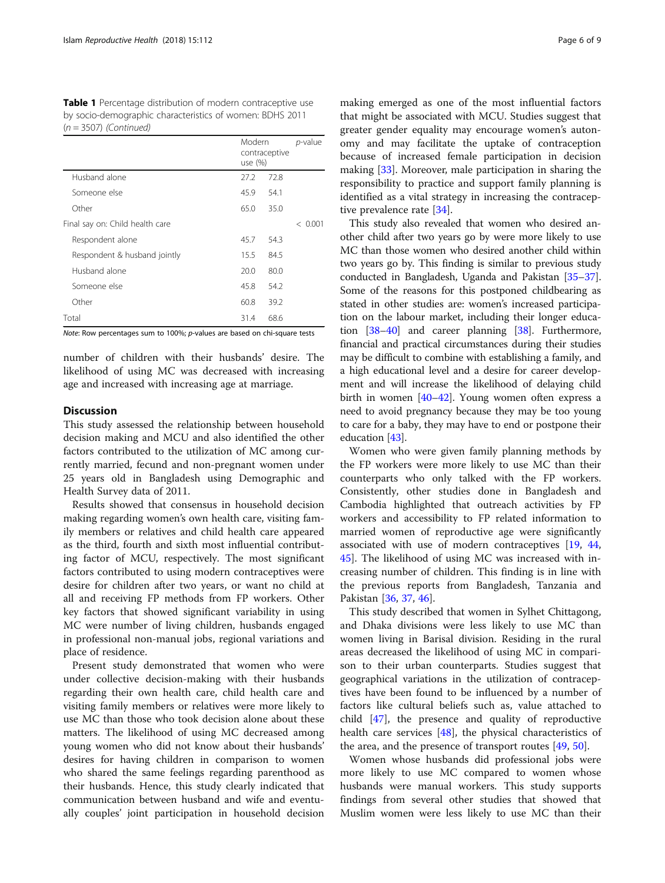Table 1 Percentage distribution of modern contraceptive use by socio-demographic characteristics of women: BDHS 2011  $(n = 3507)$  (Continued)

|                                 | Modern<br>contraceptive<br>use (%) | p-value |         |
|---------------------------------|------------------------------------|---------|---------|
| Husband alone                   | 27.2                               | 72.8    |         |
| Someone else                    | 45.9                               | 54.1    |         |
| Other                           | 65.0                               | 35.0    |         |
| Final say on: Child health care |                                    |         | < 0.001 |
| Respondent alone                | 45.7                               | 54.3    |         |
| Respondent & husband jointly    | 15.5                               | 84.5    |         |
| Husband alone                   | 20.0                               | 80.0    |         |
| Someone else                    | 45.8                               | 54.2    |         |
| Other                           | 60.8                               | 39.2    |         |
| Total                           | 31.4                               | 68.6    |         |

Note: Row percentages sum to 100%; p-values are based on chi-square tests

number of children with their husbands' desire. The likelihood of using MC was decreased with increasing age and increased with increasing age at marriage.

# **Discussion**

This study assessed the relationship between household decision making and MCU and also identified the other factors contributed to the utilization of MC among currently married, fecund and non-pregnant women under 25 years old in Bangladesh using Demographic and Health Survey data of 2011.

Results showed that consensus in household decision making regarding women's own health care, visiting family members or relatives and child health care appeared as the third, fourth and sixth most influential contributing factor of MCU, respectively. The most significant factors contributed to using modern contraceptives were desire for children after two years, or want no child at all and receiving FP methods from FP workers. Other key factors that showed significant variability in using MC were number of living children, husbands engaged in professional non-manual jobs, regional variations and place of residence.

Present study demonstrated that women who were under collective decision-making with their husbands regarding their own health care, child health care and visiting family members or relatives were more likely to use MC than those who took decision alone about these matters. The likelihood of using MC decreased among young women who did not know about their husbands' desires for having children in comparison to women who shared the same feelings regarding parenthood as their husbands. Hence, this study clearly indicated that communication between husband and wife and eventually couples' joint participation in household decision making emerged as one of the most influential factors that might be associated with MCU. Studies suggest that greater gender equality may encourage women's autonomy and may facilitate the uptake of contraception because of increased female participation in decision making [\[33\]](#page-8-0). Moreover, male participation in sharing the responsibility to practice and support family planning is identified as a vital strategy in increasing the contraceptive prevalence rate [\[34](#page-8-0)].

This study also revealed that women who desired another child after two years go by were more likely to use MC than those women who desired another child within two years go by. This finding is similar to previous study conducted in Bangladesh, Uganda and Pakistan [\[35](#page-8-0)–[37](#page-8-0)]. Some of the reasons for this postponed childbearing as stated in other studies are: women's increased participation on the labour market, including their longer education [[38](#page-8-0)–[40\]](#page-8-0) and career planning [[38](#page-8-0)]. Furthermore, financial and practical circumstances during their studies may be difficult to combine with establishing a family, and a high educational level and a desire for career development and will increase the likelihood of delaying child birth in women [\[40](#page-8-0)–[42](#page-8-0)]. Young women often express a need to avoid pregnancy because they may be too young to care for a baby, they may have to end or postpone their education [[43](#page-8-0)].

Women who were given family planning methods by the FP workers were more likely to use MC than their counterparts who only talked with the FP workers. Consistently, other studies done in Bangladesh and Cambodia highlighted that outreach activities by FP workers and accessibility to FP related information to married women of reproductive age were significantly associated with use of modern contraceptives [[19](#page-7-0), [44](#page-8-0), [45\]](#page-8-0). The likelihood of using MC was increased with increasing number of children. This finding is in line with the previous reports from Bangladesh, Tanzania and Pakistan [[36,](#page-8-0) [37,](#page-8-0) [46\]](#page-8-0).

This study described that women in Sylhet Chittagong, and Dhaka divisions were less likely to use MC than women living in Barisal division. Residing in the rural areas decreased the likelihood of using MC in comparison to their urban counterparts. Studies suggest that geographical variations in the utilization of contraceptives have been found to be influenced by a number of factors like cultural beliefs such as, value attached to child [\[47](#page-8-0)], the presence and quality of reproductive health care services [[48](#page-8-0)], the physical characteristics of the area, and the presence of transport routes  $[49, 50]$  $[49, 50]$  $[49, 50]$ .

Women whose husbands did professional jobs were more likely to use MC compared to women whose husbands were manual workers. This study supports findings from several other studies that showed that Muslim women were less likely to use MC than their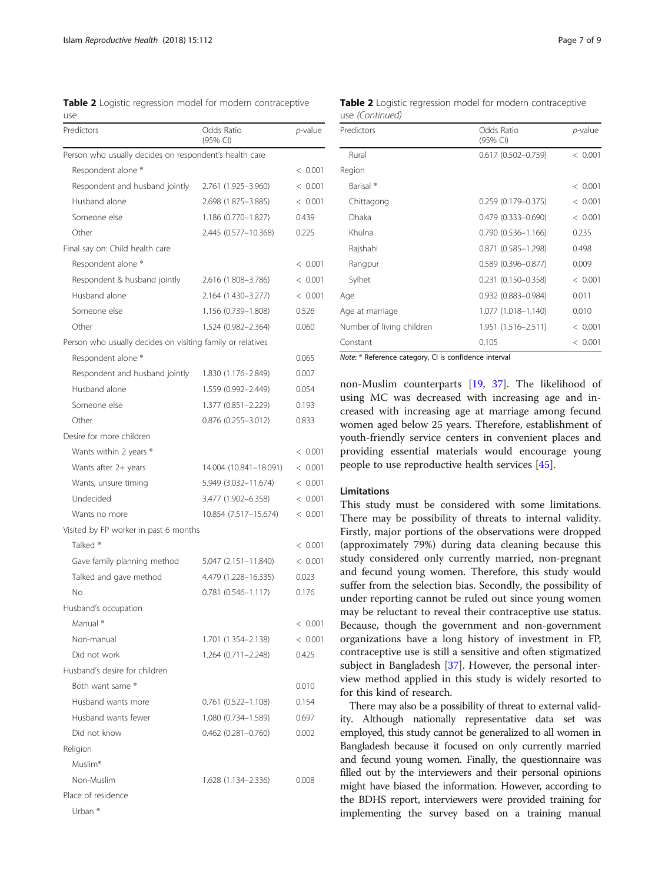<span id="page-6-0"></span>Table 2 Logistic regression model for modern contraceptive use

| Predictors                                                 | Odds Ratio<br>(95% CI) | $p$ -value |
|------------------------------------------------------------|------------------------|------------|
| Person who usually decides on respondent's health care     |                        |            |
| Respondent alone ®                                         |                        | < 0.001    |
| Respondent and husband jointly                             | 2.761 (1.925-3.960)    | < 0.001    |
| Husband alone                                              | 2.698 (1.875-3.885)    | < 0.001    |
| Someone else                                               | 1.186 (0.770-1.827)    | 0.439      |
| Other                                                      | 2.445 (0.577-10.368)   | 0.225      |
| Final say on: Child health care                            |                        |            |
| Respondent alone ®                                         |                        | < 0.001    |
| Respondent & husband jointly                               | 2.616 (1.808-3.786)    | < 0.001    |
| Husband alone                                              | 2.164 (1.430-3.277)    | < 0.001    |
| Someone else                                               | 1.156 (0.739-1.808)    | 0.526      |
| Other                                                      | 1.524 (0.982-2.364)    | 0.060      |
| Person who usually decides on visiting family or relatives |                        |            |
| Respondent alone ®                                         |                        | 0.065      |
| Respondent and husband jointly                             | 1.830 (1.176-2.849)    | 0.007      |
| Husband alone                                              | 1.559 (0.992-2.449)    | 0.054      |
| Someone else                                               | 1.377 (0.851-2.229)    | 0.193      |
| Other                                                      | $0.876$ (0.255-3.012)  | 0.833      |
| Desire for more children                                   |                        |            |
| Wants within 2 years ®                                     |                        | < 0.001    |
| Wants after 2+ years                                       | 14.004 (10.841-18.091) | < 0.001    |
| Wants, unsure timing                                       | 5.949 (3.032-11.674)   | < 0.001    |
| Undecided                                                  | 3.477 (1.902–6.358)    | < 0.001    |
| Wants no more                                              | 10.854 (7.517-15.674)  | < 0.001    |
| Visited by FP worker in past 6 months                      |                        |            |
| Talked <sup>®</sup>                                        |                        | < 0.001    |
| Gave family planning method                                | 5.047 (2.151-11.840)   | < 0.001    |
| Talked and gave method                                     | 4.479 (1.228-16.335)   | 0.023      |
| Νo                                                         | $0.781(0.546 - 1.117)$ | 0.176      |
| Husband's occupation                                       |                        |            |
| Manual <sup>®</sup>                                        |                        | < 0.001    |
| Non-manual                                                 | 1.701 (1.354–2.138)    | < 0.001    |
| Did not work                                               | 1.264 (0.711-2.248)    | 0.425      |
| Husband's desire for children                              |                        |            |
| Both want same ®                                           |                        | 0.010      |
| Husband wants more                                         | $0.761(0.522 - 1.108)$ | 0.154      |
| Husband wants fewer                                        | 1.080 (0.734-1.589)    | 0.697      |
| Did not know                                               | $0.462$ (0.281-0.760)  | 0.002      |
| Religion                                                   |                        |            |
| Muslim <sup>®</sup>                                        |                        |            |
| Non-Muslim                                                 | 1.628 (1.134–2.336)    | 0.008      |
| Place of residence                                         |                        |            |
| Urban <sup>®</sup>                                         |                        |            |

|                 |  |  | Table 2 Logistic regression model for modern contraceptive |
|-----------------|--|--|------------------------------------------------------------|
| use (Continued) |  |  |                                                            |

| Predictors                | Odds Ratio<br>(95% CI) | <i>p</i> -value |
|---------------------------|------------------------|-----------------|
| Rural                     | $0.617(0.502 - 0.759)$ | < 0.001         |
| Region                    |                        |                 |
| Barisal <sup>®</sup>      |                        | < 0.001         |
| Chittagong                | $0.259(0.179 - 0.375)$ | < 0.001         |
| Dhaka                     | $0.479(0.333 - 0.690)$ | < 0.001         |
| Khulna                    | $0.790(0.536 - 1.166)$ | 0.235           |
| Rajshahi                  | 0.871 (0.585-1.298)    | 0.498           |
| Rangpur                   | $0.589(0.396 - 0.877)$ | 0.009           |
| Sylhet                    | $0.231(0.150 - 0.358)$ | < 0.001         |
| Age                       | 0.932 (0.883-0.984)    | 0.011           |
| Age at marriage           | 1.077 (1.018-1.140)    | 0.010           |
| Number of living children | 1.951 (1.516-2.511)    | < 0.001         |
| Constant                  | 0.105                  | < 0.001         |

Note: ® Reference category, CI is confidence interval

non-Muslim counterparts [[19,](#page-7-0) [37\]](#page-8-0). The likelihood of using MC was decreased with increasing age and increased with increasing age at marriage among fecund women aged below 25 years. Therefore, establishment of youth-friendly service centers in convenient places and providing essential materials would encourage young people to use reproductive health services [[45\]](#page-8-0).

#### Limitations

This study must be considered with some limitations. There may be possibility of threats to internal validity. Firstly, major portions of the observations were dropped (approximately 79%) during data cleaning because this study considered only currently married, non-pregnant and fecund young women. Therefore, this study would suffer from the selection bias. Secondly, the possibility of under reporting cannot be ruled out since young women may be reluctant to reveal their contraceptive use status. Because, though the government and non-government organizations have a long history of investment in FP, contraceptive use is still a sensitive and often stigmatized subject in Bangladesh [\[37](#page-8-0)]. However, the personal interview method applied in this study is widely resorted to for this kind of research.

There may also be a possibility of threat to external validity. Although nationally representative data set was employed, this study cannot be generalized to all women in Bangladesh because it focused on only currently married and fecund young women. Finally, the questionnaire was filled out by the interviewers and their personal opinions might have biased the information. However, according to the BDHS report, interviewers were provided training for implementing the survey based on a training manual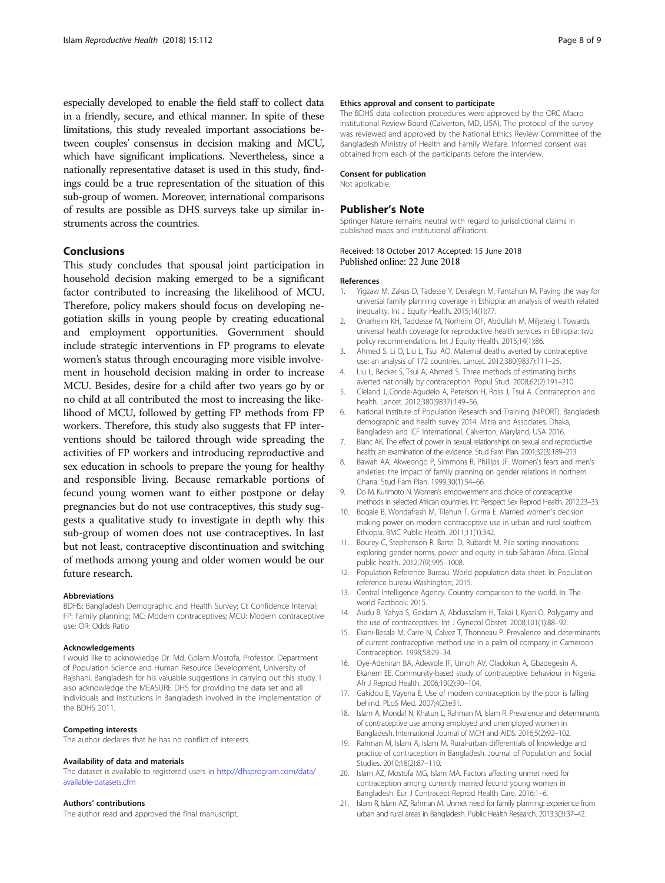<span id="page-7-0"></span>especially developed to enable the field staff to collect data in a friendly, secure, and ethical manner. In spite of these limitations, this study revealed important associations between couples' consensus in decision making and MCU, which have significant implications. Nevertheless, since a nationally representative dataset is used in this study, findings could be a true representation of the situation of this sub-group of women. Moreover, international comparisons of results are possible as DHS surveys take up similar instruments across the countries.

# Conclusions

This study concludes that spousal joint participation in household decision making emerged to be a significant factor contributed to increasing the likelihood of MCU. Therefore, policy makers should focus on developing negotiation skills in young people by creating educational and employment opportunities. Government should include strategic interventions in FP programs to elevate women's status through encouraging more visible involvement in household decision making in order to increase MCU. Besides, desire for a child after two years go by or no child at all contributed the most to increasing the likelihood of MCU, followed by getting FP methods from FP workers. Therefore, this study also suggests that FP interventions should be tailored through wide spreading the activities of FP workers and introducing reproductive and sex education in schools to prepare the young for healthy and responsible living. Because remarkable portions of fecund young women want to either postpone or delay pregnancies but do not use contraceptives, this study suggests a qualitative study to investigate in depth why this sub-group of women does not use contraceptives. In last but not least, contraceptive discontinuation and switching of methods among young and older women would be our future research.

#### **Abbreviations**

BDHS: Bangladesh Demographic and Health Survey; CI: Confidence Interval; FP: Family planning; MC: Modern contraceptives; MCU: Modern contraceptive use; OR: Odds Ratio

#### Acknowledgements

I would like to acknowledge Dr. Md. Golam Mostofa, Professor, Department of Population Science and Human Resource Development, University of Rajshahi, Bangladesh for his valuable suggestions in carrying out this study. I also acknowledge the MEASURE DHS for providing the data set and all individuals and institutions in Bangladesh involved in the implementation of the BDHS 2011.

#### Competing interests

The author declares that he has no conflict of interests.

#### Availability of data and materials

The dataset is available to registered users in [http://dhsprogram.com/data/](http://dhsprogram.com/data/available-datasets.cfm) [available-datasets.cfm](http://dhsprogram.com/data/available-datasets.cfm)

# Authors' contributions

The author read and approved the final manuscript.

#### Ethics approval and consent to participate

The BDHS data collection procedures were approved by the ORC Macro Institutional Review Board (Calverton, MD, USA). The protocol of the survey was reviewed and approved by the National Ethics Review Committee of the Bangladesh Ministry of Health and Family Welfare. Informed consent was obtained from each of the participants before the interview.

#### Consent for publication

Not applicable.

#### Publisher's Note

Springer Nature remains neutral with regard to jurisdictional claims in published maps and institutional affiliations.

#### Received: 18 October 2017 Accepted: 15 June 2018 Published online: 22 June 2018

#### References

- 1. Yigzaw M, Zakus D, Tadesse Y, Desalegn M, Fantahun M. Paving the way for universal family planning coverage in Ethiopia: an analysis of wealth related inequality. Int J Equity Health. 2015;14(1):77.
- 2. Onarheim KH, Taddesse M, Norheim OF, Abdullah M, Miljeteig I. Towards universal health coverage for reproductive health services in Ethiopia: two policy recommendations. Int J Equity Health. 2015;14(1):86.
- 3. Ahmed S, Li Q, Liu L, Tsui AO. Maternal deaths averted by contraceptive use: an analysis of 172 countries. Lancet. 2012;380(9837):111–25.
- 4. Liu L, Becker S, Tsui A, Ahmed S. Three methods of estimating births averted nationally by contraception. Popul Stud. 2008;62(2):191–210.
- 5. Cleland J, Conde-Agudelo A, Peterson H, Ross J, Tsui A. Contraception and health. Lancet. 2012;380(9837):149–56.
- 6. National Institute of Population Research and Training (NIPORT). Bangladesh demographic and health survey 2014. Mitra and Associates, Dhaka, Bangladesh and ICF International, Calverton, Maryland, USA 2016.
- 7. Blanc AK. The effect of power in sexual relationships on sexual and reproductive health: an examination of the evidence. Stud Fam Plan. 2001;32(3):189–213.
- 8. Bawah AA, Akweongo P, Simmons R, Phillips JF. Women's fears and men's anxieties: the impact of family planning on gender relations in northern Ghana. Stud Fam Plan. 1999;30(1):54–66.
- 9. Do M, Kurimoto N. Women's empowerment and choice of contraceptive methods in selected African countries. Int Perspect Sex Reprod Health. 2012:23–33.
- 10. Bogale B, Wondafrash M, Tilahun T, Girma E. Married women's decision making power on modern contraceptive use in urban and rural southern Ethiopia. BMC Public Health. 2011;11(1):342.
- 11. Bourey C, Stephenson R, Bartel D, Rubardt M. Pile sorting innovations: exploring gender norms, power and equity in sub-Saharan Africa. Global public health. 2012;7(9):995–1008.
- 12. Population Reference Bureau. World population data sheet. In: Population reference bureau Washington; 2015.
- 13. Central Intelligence Agency. Country comparison to the world. In: The world Factbook; 2015.
- 14. Audu B, Yahya S, Geidam A, Abdussalam H, Takai I, Kyari O. Polygamy and the use of contraceptives. Int J Gynecol Obstet. 2008;101(1):88–92.
- 15. Ekani-Besala M, Carre N, Calvez T, Thonneau P. Prevalence and determinants of current contraceptive method use in a palm oil company in Cameroon. Contraception. 1998;58:29–34.
- 16. Oye-Adeniran BA, Adewole IF, Umoh AV, Oladokun A, Gbadegesin A, Ekanem EE. Community-based study of contraceptive behaviour in Nigeria. Afr J Reprod Health. 2006;10(2):90–104.
- 17. Gakidou E, Vayena E. Use of modern contraception by the poor is falling behind. PLoS Med. 2007;4(2):e31.
- 18. Islam A, Mondal N, Khatun L, Rahman M, Islam R. Prevalence and determinants of contraceptive use among employed and unemployed women in Bangladesh. International Journal of MCH and AIDS. 2016;5(2):92–102.
- 19. Rahman M, Islam A, Islam M. Rural-urban differentials of knowledge and practice of contraception in Bangladesh. Journal of Population and Social Studies. 2010;18(2):87–110.
- 20. Islam AZ, Mostofa MG, Islam MA. Factors affecting unmet need for contraception among currently married fecund young women in Bangladesh. Eur J Contracept Reprod Health Care. 2016:1–6.
- 21. Islam R, Islam AZ, Rahman M. Unmet need for family planning: experience from urban and rural areas in Bangladesh. Public Health Research. 2013;3(3):37–42.